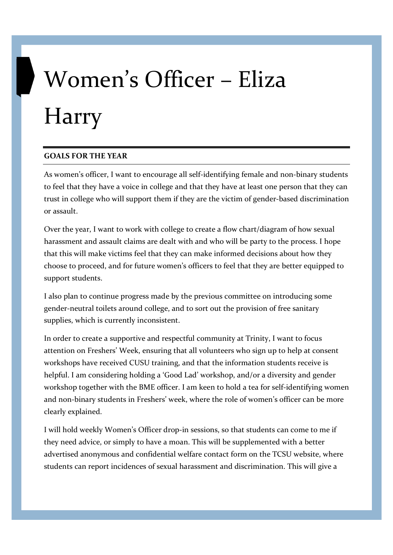## Women's Officer – Eliza Harry

## GOALS FOR THE YEAR

As women's officer, I want to encourage all self-identifying female and non-binary students to feel that they have a voice in college and that they have at least one person that they can trust in college who will support them if they are the victim of gender-based discrimination or assault.

Over the year, I want to work with college to create a flow chart/diagram of how sexual harassment and assault claims are dealt with and who will be party to the process. I hope that this will make victims feel that they can make informed decisions about how they choose to proceed, and for future women's officers to feel that they are better equipped to support students.

I also plan to continue progress made by the previous committee on introducing some gender-neutral toilets around college, and to sort out the provision of free sanitary supplies, which is currently inconsistent.

In order to create a supportive and respectful community at Trinity, I want to focus attention on Freshers' Week, ensuring that all volunteers who sign up to help at consent workshops have received CUSU training, and that the information students receive is helpful. I am considering holding a 'Good Lad' workshop, and/or a diversity and gender workshop together with the BME officer. I am keen to hold a tea for self-identifying women and non-binary students in Freshers' week, where the role of women's officer can be more clearly explained.

I will hold weekly Women's Officer drop-in sessions, so that students can come to me if they need advice, or simply to have a moan. This will be supplemented with a better advertised anonymous and confidential welfare contact form on the TCSU website, where students can report incidences of sexual harassment and discrimination. This will give a